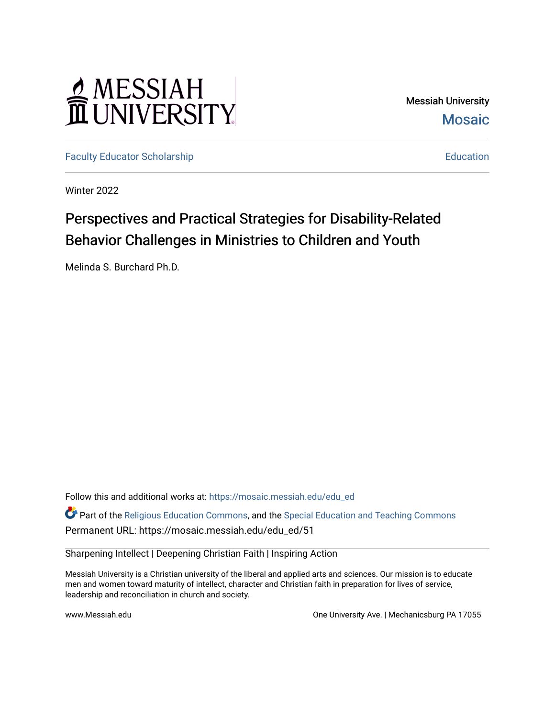# MESSIAH

Messiah University **Mosaic** 

[Faculty Educator Scholarship](https://mosaic.messiah.edu/edu_ed) [Education](https://mosaic.messiah.edu/edu) Education

Winter 2022

# Perspectives and Practical Strategies for Disability-Related Behavior Challenges in Ministries to Children and Youth

Melinda S. Burchard Ph.D.

Follow this and additional works at: [https://mosaic.messiah.edu/edu\\_ed](https://mosaic.messiah.edu/edu_ed?utm_source=mosaic.messiah.edu%2Fedu_ed%2F51&utm_medium=PDF&utm_campaign=PDFCoverPages)

Part of the [Religious Education Commons](http://network.bepress.com/hgg/discipline/1414?utm_source=mosaic.messiah.edu%2Fedu_ed%2F51&utm_medium=PDF&utm_campaign=PDFCoverPages), and the [Special Education and Teaching Commons](http://network.bepress.com/hgg/discipline/801?utm_source=mosaic.messiah.edu%2Fedu_ed%2F51&utm_medium=PDF&utm_campaign=PDFCoverPages) Permanent URL: https://mosaic.messiah.edu/edu\_ed/51

Sharpening Intellect | Deepening Christian Faith | Inspiring Action

Messiah University is a Christian university of the liberal and applied arts and sciences. Our mission is to educate men and women toward maturity of intellect, character and Christian faith in preparation for lives of service, leadership and reconciliation in church and society.

www.Messiah.edu **One University Ave. | Mechanicsburg PA 17055**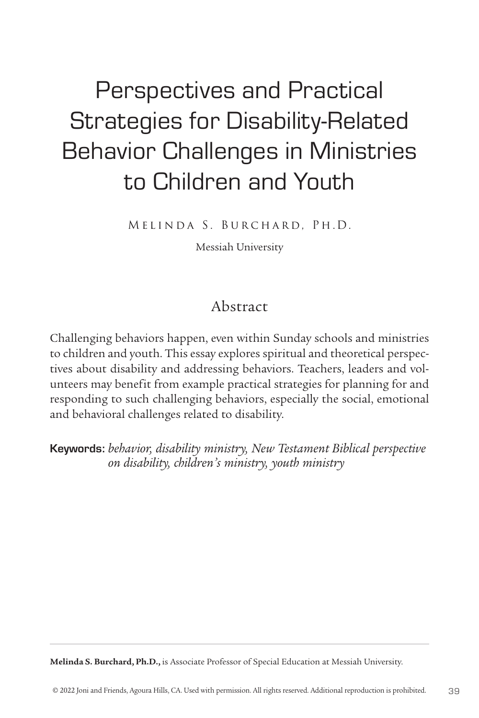# Perspectives and Practical Strategies for Disability-Related Behavior Challenges in Ministries to Children and Youth

Melinda S. Burchard, Ph.D.

Messiah University

# Abstract

Challenging behaviors happen, even within Sunday schools and ministries to children and youth. This essay explores spiritual and theoretical perspectives about disability and addressing behaviors. Teachers, leaders and volunteers may benefit from example practical strategies for planning for and responding to such challenging behaviors, especially the social, emotional and behavioral challenges related to disability.

Keywords: *behavior, disability ministry, New Testament Biblical perspective on disability, children's ministry, youth ministry*

**Melinda S. Burchard, Ph.D.,** is Associate Professor of Special Education at Messiah University.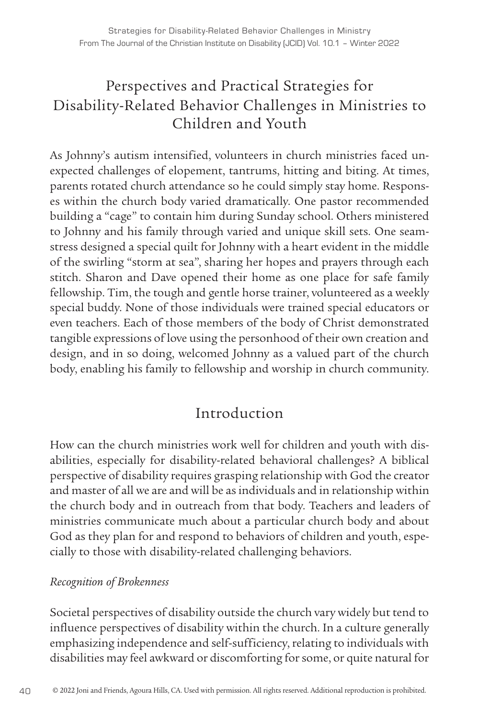# Perspectives and Practical Strategies for Disability-Related Behavior Challenges in Ministries to Children and Youth

As Johnny's autism intensified, volunteers in church ministries faced unexpected challenges of elopement, tantrums, hitting and biting. At times, parents rotated church attendance so he could simply stay home. Responses within the church body varied dramatically. One pastor recommended building a "cage" to contain him during Sunday school. Others ministered to Johnny and his family through varied and unique skill sets. One seamstress designed a special quilt for Johnny with a heart evident in the middle of the swirling "storm at sea", sharing her hopes and prayers through each stitch. Sharon and Dave opened their home as one place for safe family fellowship. Tim, the tough and gentle horse trainer, volunteered as a weekly special buddy. None of those individuals were trained special educators or even teachers. Each of those members of the body of Christ demonstrated tangible expressions of love using the personhood of their own creation and design, and in so doing, welcomed Johnny as a valued part of the church body, enabling his family to fellowship and worship in church community.

# Introduction

How can the church ministries work well for children and youth with disabilities, especially for disability-related behavioral challenges? A biblical perspective of disability requires grasping relationship with God the creator and master of all we are and will be as individuals and in relationship within the church body and in outreach from that body. Teachers and leaders of ministries communicate much about a particular church body and about God as they plan for and respond to behaviors of children and youth, especially to those with disability-related challenging behaviors.

#### *Recognition of Brokenness*

Societal perspectives of disability outside the church vary widely but tend to influence perspectives of disability within the church. In a culture generally emphasizing independence and self-sufficiency, relating to individuals with disabilities may feel awkward or discomforting for some, or quite natural for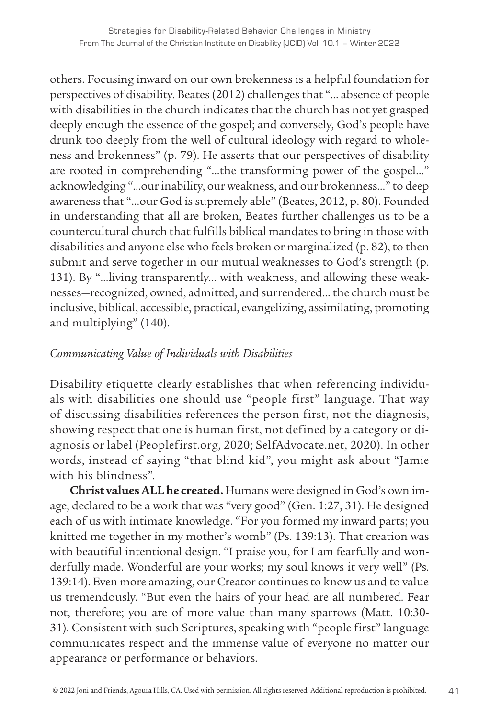others. Focusing inward on our own brokenness is a helpful foundation for perspectives of disability. Beates (2012) challenges that "… absence of people with disabilities in the church indicates that the church has not yet grasped deeply enough the essence of the gospel; and conversely, God's people have drunk too deeply from the well of cultural ideology with regard to wholeness and brokenness" (p. 79). He asserts that our perspectives of disability are rooted in comprehending "…the transforming power of the gospel…" acknowledging "…our inability, our weakness, and our brokenness…" to deep awareness that "…our God is supremely able" (Beates, 2012, p. 80). Founded in understanding that all are broken, Beates further challenges us to be a countercultural church that fulfills biblical mandates to bring in those with disabilities and anyone else who feels broken or marginalized (p. 82), to then submit and serve together in our mutual weaknesses to God's strength (p. 131). By "…living transparently… with weakness, and allowing these weaknesses—recognized, owned, admitted, and surrendered… the church must be inclusive, biblical, accessible, practical, evangelizing, assimilating, promoting and multiplying" (140).

#### *Communicating Value of Individuals with Disabilities*

Disability etiquette clearly establishes that when referencing individuals with disabilities one should use "people first" language. That way of discussing disabilities references the person first, not the diagnosis, showing respect that one is human first, not defined by a category or diagnosis or label (Peoplefirst.org, 2020; SelfAdvocate.net, 2020). In other words, instead of saying "that blind kid", you might ask about "Jamie with his blindness".

**Christ values ALL he created.** Humans were designed in God's own image, declared to be a work that was "very good" (Gen. 1:27, 31). He designed each of us with intimate knowledge. "For you formed my inward parts; you knitted me together in my mother's womb" (Ps. 139:13). That creation was with beautiful intentional design. "I praise you, for I am fearfully and wonderfully made. Wonderful are your works; my soul knows it very well" (Ps. 139:14). Even more amazing, our Creator continues to know us and to value us tremendously. "But even the hairs of your head are all numbered. Fear not, therefore; you are of more value than many sparrows (Matt. 10:30- 31). Consistent with such Scriptures, speaking with "people first" language communicates respect and the immense value of everyone no matter our appearance or performance or behaviors.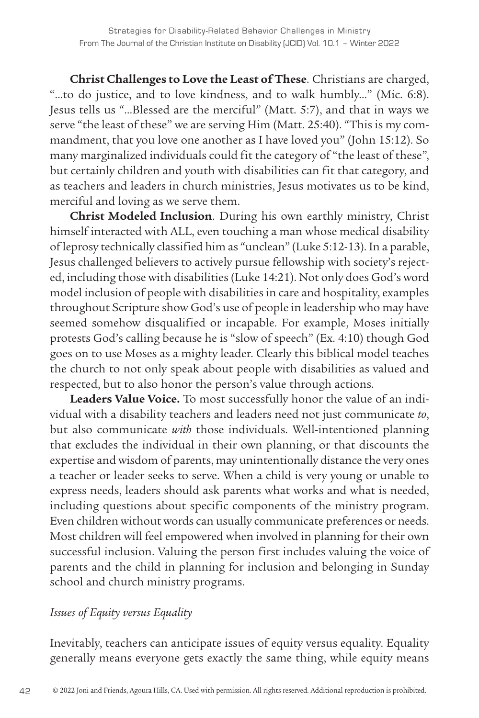**Christ Challenges to Love the Least of These**. Christians are charged, "…to do justice, and to love kindness, and to walk humbly…" (Mic. 6:8). Jesus tells us "…Blessed are the merciful" (Matt. 5:7), and that in ways we serve "the least of these" we are serving Him (Matt. 25:40). "This is my commandment, that you love one another as I have loved you" (John 15:12). So many marginalized individuals could fit the category of "the least of these", but certainly children and youth with disabilities can fit that category, and as teachers and leaders in church ministries, Jesus motivates us to be kind, merciful and loving as we serve them.

**Christ Modeled Inclusion**. During his own earthly ministry, Christ himself interacted with ALL, even touching a man whose medical disability of leprosy technically classified him as "unclean" (Luke 5:12-13). In a parable, Jesus challenged believers to actively pursue fellowship with society's rejected, including those with disabilities (Luke 14:21). Not only does God's word model inclusion of people with disabilities in care and hospitality, examples throughout Scripture show God's use of people in leadership who may have seemed somehow disqualified or incapable. For example, Moses initially protests God's calling because he is "slow of speech" (Ex. 4:10) though God goes on to use Moses as a mighty leader. Clearly this biblical model teaches the church to not only speak about people with disabilities as valued and respected, but to also honor the person's value through actions.

**Leaders Value Voice.** To most successfully honor the value of an individual with a disability teachers and leaders need not just communicate *to*, but also communicate *with* those individuals. Well-intentioned planning that excludes the individual in their own planning, or that discounts the expertise and wisdom of parents, may unintentionally distance the very ones a teacher or leader seeks to serve. When a child is very young or unable to express needs, leaders should ask parents what works and what is needed, including questions about specific components of the ministry program. Even children without words can usually communicate preferences or needs. Most children will feel empowered when involved in planning for their own successful inclusion. Valuing the person first includes valuing the voice of parents and the child in planning for inclusion and belonging in Sunday school and church ministry programs.

#### *Issues of Equity versus Equality*

Inevitably, teachers can anticipate issues of equity versus equality. Equality generally means everyone gets exactly the same thing, while equity means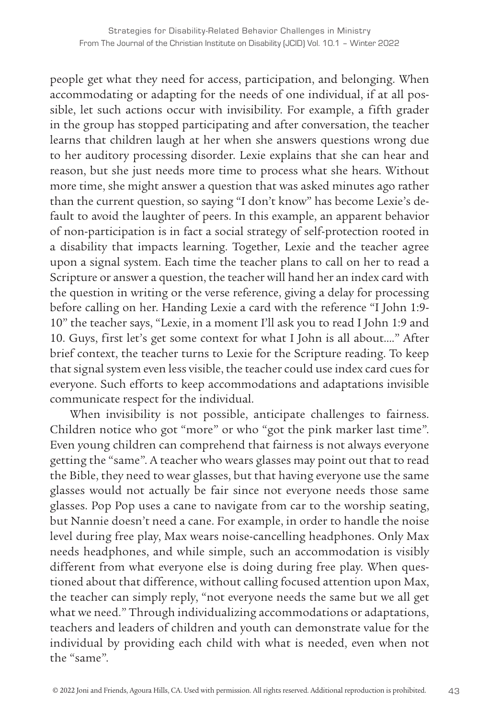people get what they need for access, participation, and belonging. When accommodating or adapting for the needs of one individual, if at all possible, let such actions occur with invisibility. For example, a fifth grader in the group has stopped participating and after conversation, the teacher learns that children laugh at her when she answers questions wrong due to her auditory processing disorder. Lexie explains that she can hear and reason, but she just needs more time to process what she hears. Without more time, she might answer a question that was asked minutes ago rather than the current question, so saying "I don't know" has become Lexie's default to avoid the laughter of peers. In this example, an apparent behavior of non-participation is in fact a social strategy of self-protection rooted in a disability that impacts learning. Together, Lexie and the teacher agree upon a signal system. Each time the teacher plans to call on her to read a Scripture or answer a question, the teacher will hand her an index card with the question in writing or the verse reference, giving a delay for processing before calling on her. Handing Lexie a card with the reference "I John 1:9- 10" the teacher says, "Lexie, in a moment I'll ask you to read I John 1:9 and 10. Guys, first let's get some context for what I John is all about…." After brief context, the teacher turns to Lexie for the Scripture reading. To keep that signal system even less visible, the teacher could use index card cues for everyone. Such efforts to keep accommodations and adaptations invisible communicate respect for the individual.

When invisibility is not possible, anticipate challenges to fairness. Children notice who got "more" or who "got the pink marker last time". Even young children can comprehend that fairness is not always everyone getting the "same". A teacher who wears glasses may point out that to read the Bible, they need to wear glasses, but that having everyone use the same glasses would not actually be fair since not everyone needs those same glasses. Pop Pop uses a cane to navigate from car to the worship seating, but Nannie doesn't need a cane. For example, in order to handle the noise level during free play, Max wears noise-cancelling headphones. Only Max needs headphones, and while simple, such an accommodation is visibly different from what everyone else is doing during free play. When questioned about that difference, without calling focused attention upon Max, the teacher can simply reply, "not everyone needs the same but we all get what we need." Through individualizing accommodations or adaptations, teachers and leaders of children and youth can demonstrate value for the individual by providing each child with what is needed, even when not the "same".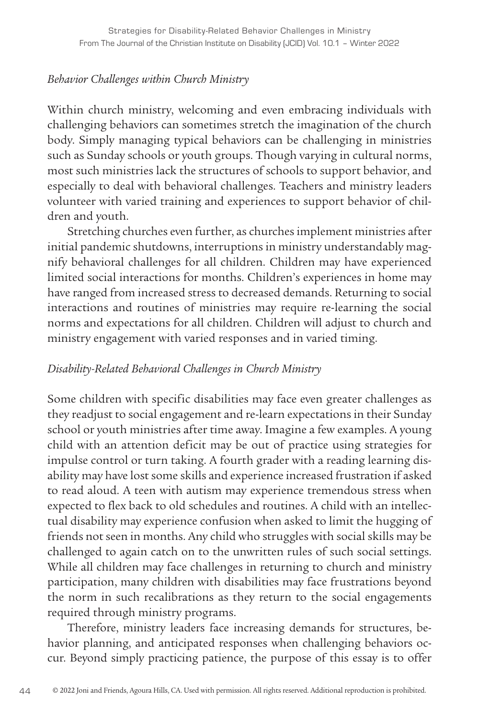#### *Behavior Challenges within Church Ministry*

Within church ministry, welcoming and even embracing individuals with challenging behaviors can sometimes stretch the imagination of the church body. Simply managing typical behaviors can be challenging in ministries such as Sunday schools or youth groups. Though varying in cultural norms, most such ministries lack the structures of schools to support behavior, and especially to deal with behavioral challenges. Teachers and ministry leaders volunteer with varied training and experiences to support behavior of children and youth.

Stretching churches even further, as churches implement ministries after initial pandemic shutdowns, interruptions in ministry understandably magnify behavioral challenges for all children. Children may have experienced limited social interactions for months. Children's experiences in home may have ranged from increased stress to decreased demands. Returning to social interactions and routines of ministries may require re-learning the social norms and expectations for all children. Children will adjust to church and ministry engagement with varied responses and in varied timing.

#### *Disability-Related Behavioral Challenges in Church Ministry*

Some children with specific disabilities may face even greater challenges as they readjust to social engagement and re-learn expectations in their Sunday school or youth ministries after time away. Imagine a few examples. A young child with an attention deficit may be out of practice using strategies for impulse control or turn taking. A fourth grader with a reading learning disability may have lost some skills and experience increased frustration if asked to read aloud. A teen with autism may experience tremendous stress when expected to flex back to old schedules and routines. A child with an intellectual disability may experience confusion when asked to limit the hugging of friends not seen in months. Any child who struggles with social skills may be challenged to again catch on to the unwritten rules of such social settings. While all children may face challenges in returning to church and ministry participation, many children with disabilities may face frustrations beyond the norm in such recalibrations as they return to the social engagements required through ministry programs.

Therefore, ministry leaders face increasing demands for structures, behavior planning, and anticipated responses when challenging behaviors occur. Beyond simply practicing patience, the purpose of this essay is to offer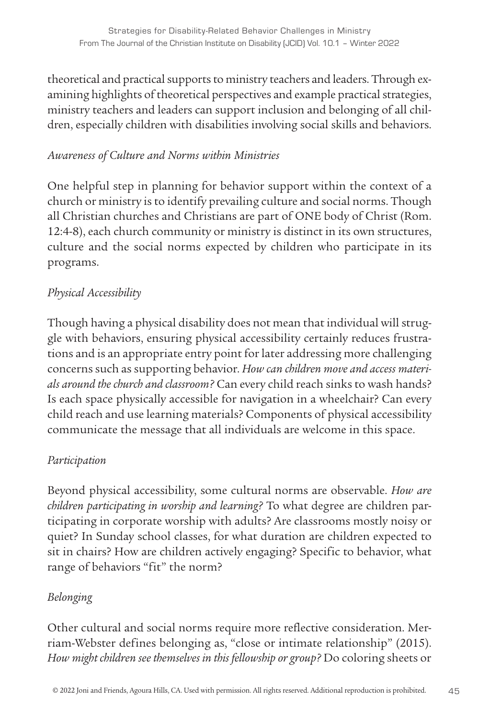theoretical and practical supports to ministry teachers and leaders. Through examining highlights of theoretical perspectives and example practical strategies, ministry teachers and leaders can support inclusion and belonging of all children, especially children with disabilities involving social skills and behaviors.

#### *Awareness of Culture and Norms within Ministries*

One helpful step in planning for behavior support within the context of a church or ministry is to identify prevailing culture and social norms. Though all Christian churches and Christians are part of ONE body of Christ (Rom. 12:4-8), each church community or ministry is distinct in its own structures, culture and the social norms expected by children who participate in its programs.

#### *Physical Accessibility*

Though having a physical disability does not mean that individual will struggle with behaviors, ensuring physical accessibility certainly reduces frustrations and is an appropriate entry point for later addressing more challenging concerns such as supporting behavior. *How can children move and access materials around the church and classroom?* Can every child reach sinks to wash hands? Is each space physically accessible for navigation in a wheelchair? Can every child reach and use learning materials? Components of physical accessibility communicate the message that all individuals are welcome in this space.

#### *Participation*

Beyond physical accessibility, some cultural norms are observable. *How are children participating in worship and learning?* To what degree are children participating in corporate worship with adults? Are classrooms mostly noisy or quiet? In Sunday school classes, for what duration are children expected to sit in chairs? How are children actively engaging? Specific to behavior, what range of behaviors "fit" the norm?

#### *Belonging*

Other cultural and social norms require more reflective consideration. Merriam-Webster defines belonging as, "close or intimate relationship" (2015). *How might children see themselves in this fellowship or group?* Do coloring sheets or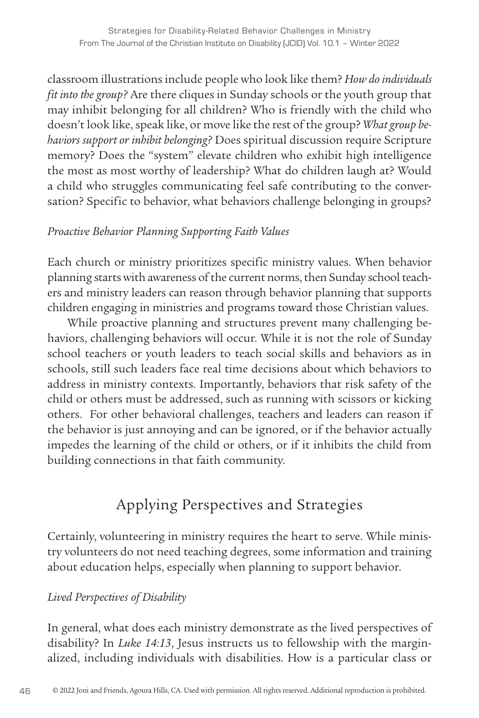classroom illustrations include people who look like them? *How do individuals fit into the group?* Are there cliques in Sunday schools or the youth group that may inhibit belonging for all children? Who is friendly with the child who doesn't look like, speak like, or move like the rest of the group? *What group behaviors support or inhibit belonging?* Does spiritual discussion require Scripture memory? Does the "system" elevate children who exhibit high intelligence the most as most worthy of leadership? What do children laugh at? Would a child who struggles communicating feel safe contributing to the conversation? Specific to behavior, what behaviors challenge belonging in groups?

#### *Proactive Behavior Planning Supporting Faith Values*

Each church or ministry prioritizes specific ministry values. When behavior planning starts with awareness of the current norms, then Sunday school teachers and ministry leaders can reason through behavior planning that supports children engaging in ministries and programs toward those Christian values.

While proactive planning and structures prevent many challenging behaviors, challenging behaviors will occur. While it is not the role of Sunday school teachers or youth leaders to teach social skills and behaviors as in schools, still such leaders face real time decisions about which behaviors to address in ministry contexts. Importantly, behaviors that risk safety of the child or others must be addressed, such as running with scissors or kicking others. For other behavioral challenges, teachers and leaders can reason if the behavior is just annoying and can be ignored, or if the behavior actually impedes the learning of the child or others, or if it inhibits the child from building connections in that faith community.

# Applying Perspectives and Strategies

Certainly, volunteering in ministry requires the heart to serve. While ministry volunteers do not need teaching degrees, some information and training about education helps, especially when planning to support behavior.

#### *Lived Perspectives of Disability*

In general, what does each ministry demonstrate as the lived perspectives of disability? In *Luke 14:13*, Jesus instructs us to fellowship with the marginalized, including individuals with disabilities. How is a particular class or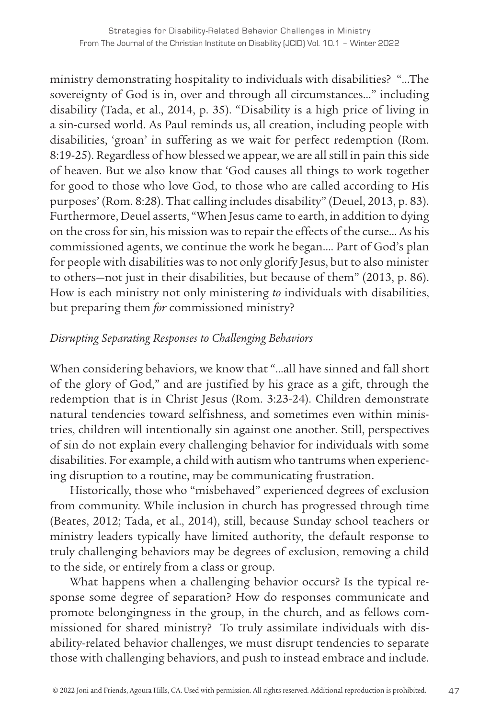ministry demonstrating hospitality to individuals with disabilities? "…The sovereignty of God is in, over and through all circumstances…" including disability (Tada, et al., 2014, p. 35). "Disability is a high price of living in a sin-cursed world. As Paul reminds us, all creation, including people with disabilities, 'groan' in suffering as we wait for perfect redemption (Rom. 8:19-25). Regardless of how blessed we appear, we are all still in pain this side of heaven. But we also know that 'God causes all things to work together for good to those who love God, to those who are called according to His purposes' (Rom. 8:28). That calling includes disability" (Deuel, 2013, p. 83). Furthermore, Deuel asserts, "When Jesus came to earth, in addition to dying on the cross for sin, his mission was to repair the effects of the curse… As his commissioned agents, we continue the work he began…. Part of God's plan for people with disabilities was to not only glorify Jesus, but to also minister to others—not just in their disabilities, but because of them" (2013, p. 86). How is each ministry not only ministering *to* individuals with disabilities, but preparing them *for* commissioned ministry?

#### *Disrupting Separating Responses to Challenging Behaviors*

When considering behaviors, we know that "…all have sinned and fall short of the glory of God," and are justified by his grace as a gift, through the redemption that is in Christ Jesus (Rom. 3:23-24). Children demonstrate natural tendencies toward selfishness, and sometimes even within ministries, children will intentionally sin against one another. Still, perspectives of sin do not explain every challenging behavior for individuals with some disabilities. For example, a child with autism who tantrums when experiencing disruption to a routine, may be communicating frustration.

Historically, those who "misbehaved" experienced degrees of exclusion from community. While inclusion in church has progressed through time (Beates, 2012; Tada, et al., 2014), still, because Sunday school teachers or ministry leaders typically have limited authority, the default response to truly challenging behaviors may be degrees of exclusion, removing a child to the side, or entirely from a class or group.

What happens when a challenging behavior occurs? Is the typical response some degree of separation? How do responses communicate and promote belongingness in the group, in the church, and as fellows commissioned for shared ministry? To truly assimilate individuals with disability-related behavior challenges, we must disrupt tendencies to separate those with challenging behaviors, and push to instead embrace and include.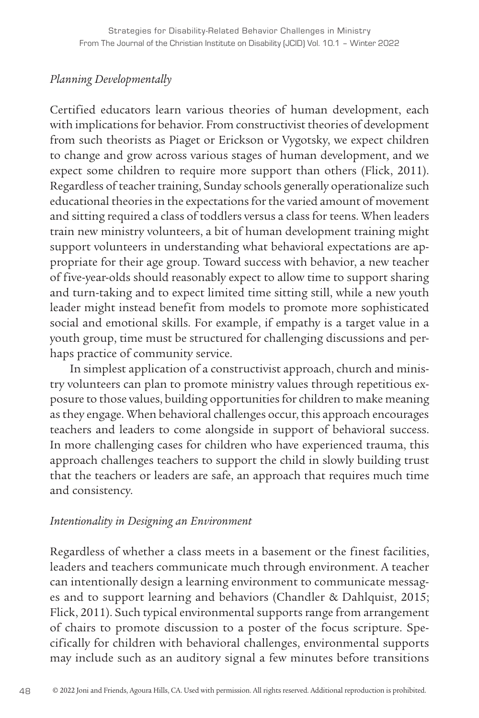#### *Planning Developmentally*

Certified educators learn various theories of human development, each with implications for behavior. From constructivist theories of development from such theorists as Piaget or Erickson or Vygotsky, we expect children to change and grow across various stages of human development, and we expect some children to require more support than others (Flick, 2011). Regardless of teacher training, Sunday schools generally operationalize such educational theories in the expectations for the varied amount of movement and sitting required a class of toddlers versus a class for teens. When leaders train new ministry volunteers, a bit of human development training might support volunteers in understanding what behavioral expectations are appropriate for their age group. Toward success with behavior, a new teacher of five-year-olds should reasonably expect to allow time to support sharing and turn-taking and to expect limited time sitting still, while a new youth leader might instead benefit from models to promote more sophisticated social and emotional skills. For example, if empathy is a target value in a youth group, time must be structured for challenging discussions and perhaps practice of community service.

In simplest application of a constructivist approach, church and ministry volunteers can plan to promote ministry values through repetitious exposure to those values, building opportunities for children to make meaning as they engage. When behavioral challenges occur, this approach encourages teachers and leaders to come alongside in support of behavioral success. In more challenging cases for children who have experienced trauma, this approach challenges teachers to support the child in slowly building trust that the teachers or leaders are safe, an approach that requires much time and consistency.

#### *Intentionality in Designing an Environment*

Regardless of whether a class meets in a basement or the finest facilities, leaders and teachers communicate much through environment. A teacher can intentionally design a learning environment to communicate messages and to support learning and behaviors (Chandler & Dahlquist, 2015; Flick, 2011). Such typical environmental supports range from arrangement of chairs to promote discussion to a poster of the focus scripture. Specifically for children with behavioral challenges, environmental supports may include such as an auditory signal a few minutes before transitions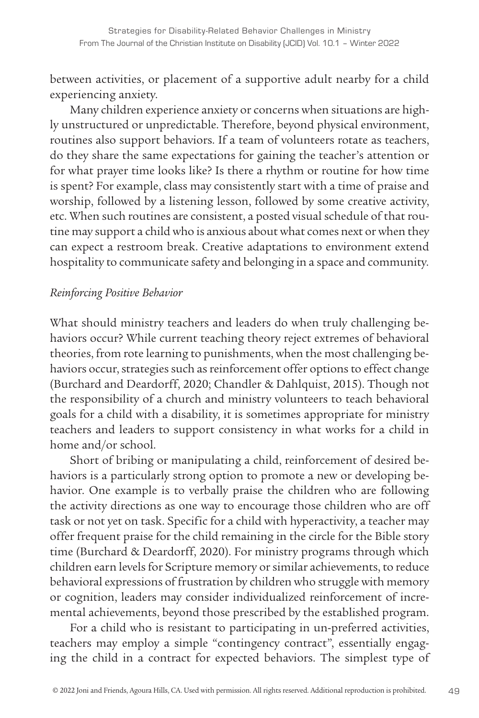between activities, or placement of a supportive adult nearby for a child experiencing anxiety.

Many children experience anxiety or concerns when situations are highly unstructured or unpredictable. Therefore, beyond physical environment, routines also support behaviors. If a team of volunteers rotate as teachers, do they share the same expectations for gaining the teacher's attention or for what prayer time looks like? Is there a rhythm or routine for how time is spent? For example, class may consistently start with a time of praise and worship, followed by a listening lesson, followed by some creative activity, etc. When such routines are consistent, a posted visual schedule of that routine may support a child who is anxious about what comes next or when they can expect a restroom break. Creative adaptations to environment extend hospitality to communicate safety and belonging in a space and community.

#### *Reinforcing Positive Behavior*

What should ministry teachers and leaders do when truly challenging behaviors occur? While current teaching theory reject extremes of behavioral theories, from rote learning to punishments, when the most challenging behaviors occur, strategies such as reinforcement offer options to effect change (Burchard and Deardorff, 2020; Chandler & Dahlquist, 2015). Though not the responsibility of a church and ministry volunteers to teach behavioral goals for a child with a disability, it is sometimes appropriate for ministry teachers and leaders to support consistency in what works for a child in home and/or school.

Short of bribing or manipulating a child, reinforcement of desired behaviors is a particularly strong option to promote a new or developing behavior. One example is to verbally praise the children who are following the activity directions as one way to encourage those children who are off task or not yet on task. Specific for a child with hyperactivity, a teacher may offer frequent praise for the child remaining in the circle for the Bible story time (Burchard & Deardorff, 2020). For ministry programs through which children earn levels for Scripture memory or similar achievements, to reduce behavioral expressions of frustration by children who struggle with memory or cognition, leaders may consider individualized reinforcement of incremental achievements, beyond those prescribed by the established program.

For a child who is resistant to participating in un-preferred activities, teachers may employ a simple "contingency contract", essentially engaging the child in a contract for expected behaviors. The simplest type of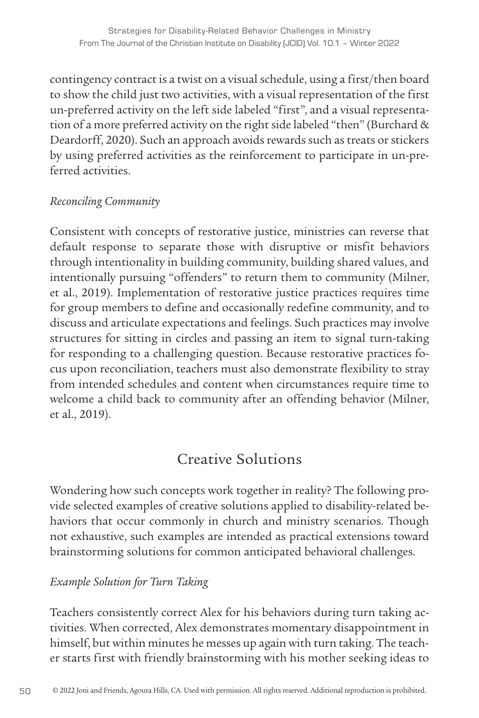contingency contract is a twist on a visual schedule, using a first/then board to show the child just two activities, with a visual representation of the first un-preferred activity on the left side labeled "first", and a visual representation of a more preferred activity on the right side labeled "then" (Burchard & Deardorff, 2020). Such an approach avoids rewards such as treats or stickers by using preferred activities as the reinforcement to participate in un-preferred activities.

#### *Reconciling Community*

Consistent with concepts of restorative justice, ministries can reverse that default response to separate those with disruptive or misfit behaviors through intentionality in building community, building shared values, and intentionally pursuing "offenders" to return them to community (Milner, et al., 2019). Implementation of restorative justice practices requires time for group members to define and occasionally redefine community, and to discuss and articulate expectations and feelings. Such practices may involve structures for sitting in circles and passing an item to signal turn-taking for responding to a challenging question. Because restorative practices focus upon reconciliation, teachers must also demonstrate flexibility to stray from intended schedules and content when circumstances require time to welcome a child back to community after an offending behavior (Milner, et al., 2019).

# Creative Solutions

Wondering how such concepts work together in reality? The following provide selected examples of creative solutions applied to disability-related behaviors that occur commonly in church and ministry scenarios. Though not exhaustive, such examples are intended as practical extensions toward brainstorming solutions for common anticipated behavioral challenges.

#### *Example Solution for Turn Taking*

Teachers consistently correct Alex for his behaviors during turn taking activities. When corrected, Alex demonstrates momentary disappointment in himself, but within minutes he messes up again with turn taking. The teacher starts first with friendly brainstorming with his mother seeking ideas to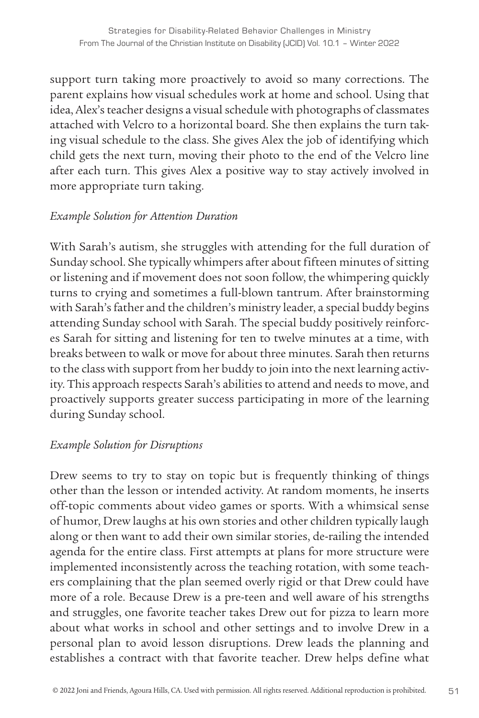support turn taking more proactively to avoid so many corrections. The parent explains how visual schedules work at home and school. Using that idea, Alex's teacher designs a visual schedule with photographs of classmates attached with Velcro to a horizontal board. She then explains the turn taking visual schedule to the class. She gives Alex the job of identifying which child gets the next turn, moving their photo to the end of the Velcro line after each turn. This gives Alex a positive way to stay actively involved in more appropriate turn taking.

#### *Example Solution for Attention Duration*

With Sarah's autism, she struggles with attending for the full duration of Sunday school. She typically whimpers after about fifteen minutes of sitting or listening and if movement does not soon follow, the whimpering quickly turns to crying and sometimes a full-blown tantrum. After brainstorming with Sarah's father and the children's ministry leader, a special buddy begins attending Sunday school with Sarah. The special buddy positively reinforces Sarah for sitting and listening for ten to twelve minutes at a time, with breaks between to walk or move for about three minutes. Sarah then returns to the class with support from her buddy to join into the next learning activity. This approach respects Sarah's abilities to attend and needs to move, and proactively supports greater success participating in more of the learning during Sunday school.

#### *Example Solution for Disruptions*

Drew seems to try to stay on topic but is frequently thinking of things other than the lesson or intended activity. At random moments, he inserts off-topic comments about video games or sports. With a whimsical sense of humor, Drew laughs at his own stories and other children typically laugh along or then want to add their own similar stories, de-railing the intended agenda for the entire class. First attempts at plans for more structure were implemented inconsistently across the teaching rotation, with some teachers complaining that the plan seemed overly rigid or that Drew could have more of a role. Because Drew is a pre-teen and well aware of his strengths and struggles, one favorite teacher takes Drew out for pizza to learn more about what works in school and other settings and to involve Drew in a personal plan to avoid lesson disruptions. Drew leads the planning and establishes a contract with that favorite teacher. Drew helps define what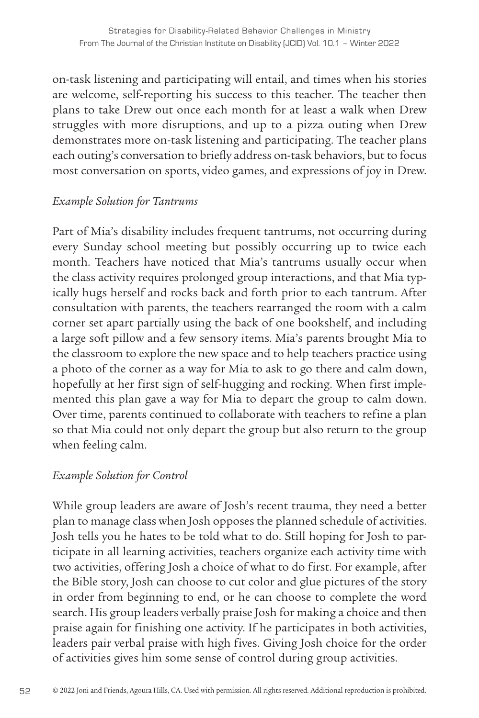on-task listening and participating will entail, and times when his stories are welcome, self-reporting his success to this teacher. The teacher then plans to take Drew out once each month for at least a walk when Drew struggles with more disruptions, and up to a pizza outing when Drew demonstrates more on-task listening and participating. The teacher plans each outing's conversation to briefly address on-task behaviors, but to focus most conversation on sports, video games, and expressions of joy in Drew.

#### *Example Solution for Tantrums*

Part of Mia's disability includes frequent tantrums, not occurring during every Sunday school meeting but possibly occurring up to twice each month. Teachers have noticed that Mia's tantrums usually occur when the class activity requires prolonged group interactions, and that Mia typically hugs herself and rocks back and forth prior to each tantrum. After consultation with parents, the teachers rearranged the room with a calm corner set apart partially using the back of one bookshelf, and including a large soft pillow and a few sensory items. Mia's parents brought Mia to the classroom to explore the new space and to help teachers practice using a photo of the corner as a way for Mia to ask to go there and calm down, hopefully at her first sign of self-hugging and rocking. When first implemented this plan gave a way for Mia to depart the group to calm down. Over time, parents continued to collaborate with teachers to refine a plan so that Mia could not only depart the group but also return to the group when feeling calm.

#### *Example Solution for Control*

While group leaders are aware of Josh's recent trauma, they need a better plan to manage class when Josh opposes the planned schedule of activities. Josh tells you he hates to be told what to do. Still hoping for Josh to participate in all learning activities, teachers organize each activity time with two activities, offering Josh a choice of what to do first. For example, after the Bible story, Josh can choose to cut color and glue pictures of the story in order from beginning to end, or he can choose to complete the word search. His group leaders verbally praise Josh for making a choice and then praise again for finishing one activity. If he participates in both activities, leaders pair verbal praise with high fives. Giving Josh choice for the order of activities gives him some sense of control during group activities.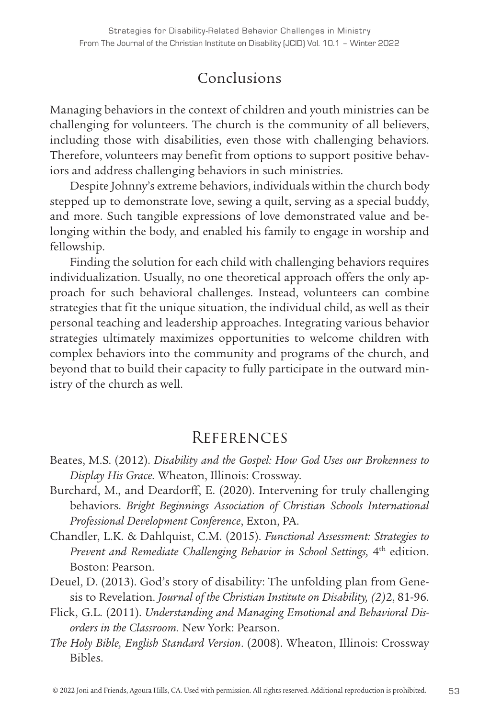# Conclusions

Managing behaviors in the context of children and youth ministries can be challenging for volunteers. The church is the community of all believers, including those with disabilities, even those with challenging behaviors. Therefore, volunteers may benefit from options to support positive behaviors and address challenging behaviors in such ministries.

Despite Johnny's extreme behaviors, individuals within the church body stepped up to demonstrate love, sewing a quilt, serving as a special buddy, and more. Such tangible expressions of love demonstrated value and belonging within the body, and enabled his family to engage in worship and fellowship.

Finding the solution for each child with challenging behaviors requires individualization. Usually, no one theoretical approach offers the only approach for such behavioral challenges. Instead, volunteers can combine strategies that fit the unique situation, the individual child, as well as their personal teaching and leadership approaches. Integrating various behavior strategies ultimately maximizes opportunities to welcome children with complex behaviors into the community and programs of the church, and beyond that to build their capacity to fully participate in the outward ministry of the church as well.

# **REFERENCES**

- Beates, M.S. (2012). *Disability and the Gospel: How God Uses our Brokenness to Display His Grace.* Wheaton, Illinois: Crossway.
- Burchard, M., and Deardorff, E. (2020). Intervening for truly challenging behaviors. *Bright Beginnings Association of Christian Schools International Professional Development Conference*, Exton, PA.
- Chandler, L.K. & Dahlquist, C.M. (2015). *Functional Assessment: Strategies to Prevent and Remediate Challenging Behavior in School Settings,* 4th edition. Boston: Pearson.
- Deuel, D. (2013). God's story of disability: The unfolding plan from Genesis to Revelation. *Journal of the Christian Institute on Disability, (2)*2, 81-96.
- Flick, G.L. (2011). *Understanding and Managing Emotional and Behavioral Disorders in the Classroom.* New York: Pearson.
- *The Holy Bible, English Standard Version*. (2008). Wheaton, Illinois: Crossway Bibles.